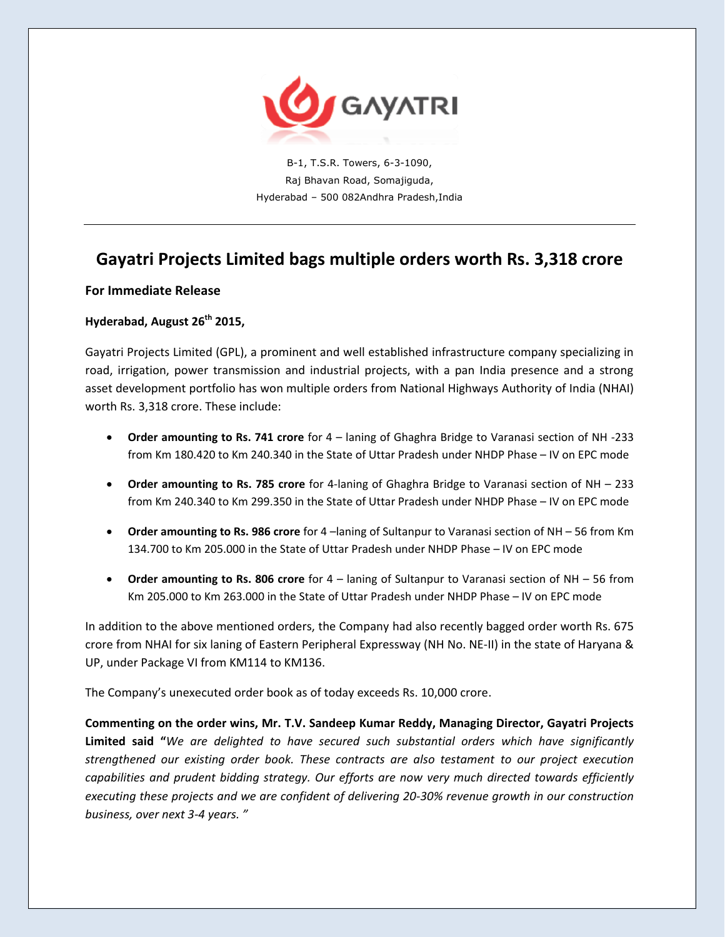

B-1, T.S.R. Towers, 6-3-1090, Raj Bhavan Road, Somajiguda, Hyderabad – 500 082Andhra Pradesh,India

# **Gayatri Projects Limited bags multiple orders worth Rs. 3,318 crore**

### **For Immediate Release**

## **Hyderabad, August 26th 2015,**

Gayatri Projects Limited (GPL), a prominent and well established infrastructure company specializing in road, irrigation, power transmission and industrial projects, with a pan India presence and a strong asset development portfolio has won multiple orders from National Highways Authority of India (NHAI) worth Rs. 3,318 crore. These include:

- **Order amounting to Rs. 741 crore** for 4 laning of Ghaghra Bridge to Varanasi section of NH -233 from Km 180.420 to Km 240.340 in the State of Uttar Pradesh under NHDP Phase – IV on EPC mode
- **Order amounting to Rs. 785 crore** for 4-laning of Ghaghra Bridge to Varanasi section of NH 233 from Km 240.340 to Km 299.350 in the State of Uttar Pradesh under NHDP Phase – IV on EPC mode
- **Order amounting to Rs. 986 crore** for 4 –laning of Sultanpur to Varanasi section of NH 56 from Km 134.700 to Km 205.000 in the State of Uttar Pradesh under NHDP Phase – IV on EPC mode
- **Order amounting to Rs. 806 crore** for 4 laning of Sultanpur to Varanasi section of NH 56 from Km 205.000 to Km 263.000 in the State of Uttar Pradesh under NHDP Phase – IV on EPC mode

In addition to the above mentioned orders, the Company had also recently bagged order worth Rs. 675 crore from NHAI for six laning of Eastern Peripheral Expressway (NH No. NE-II) in the state of Haryana & UP, under Package VI from KM114 to KM136.

The Company's unexecuted order book as of today exceeds Rs. 10,000 crore.

**Commenting on the order wins, Mr. T.V. Sandeep Kumar Reddy, Managing Director, Gayatri Projects Limited said "***We are delighted to have secured such substantial orders which have significantly strengthened our existing order book. These contracts are also testament to our project execution capabilities and prudent bidding strategy. Our efforts are now very much directed towards efficiently executing these projects and we are confident of delivering 20-30% revenue growth in our construction business, over next 3-4 years. "*